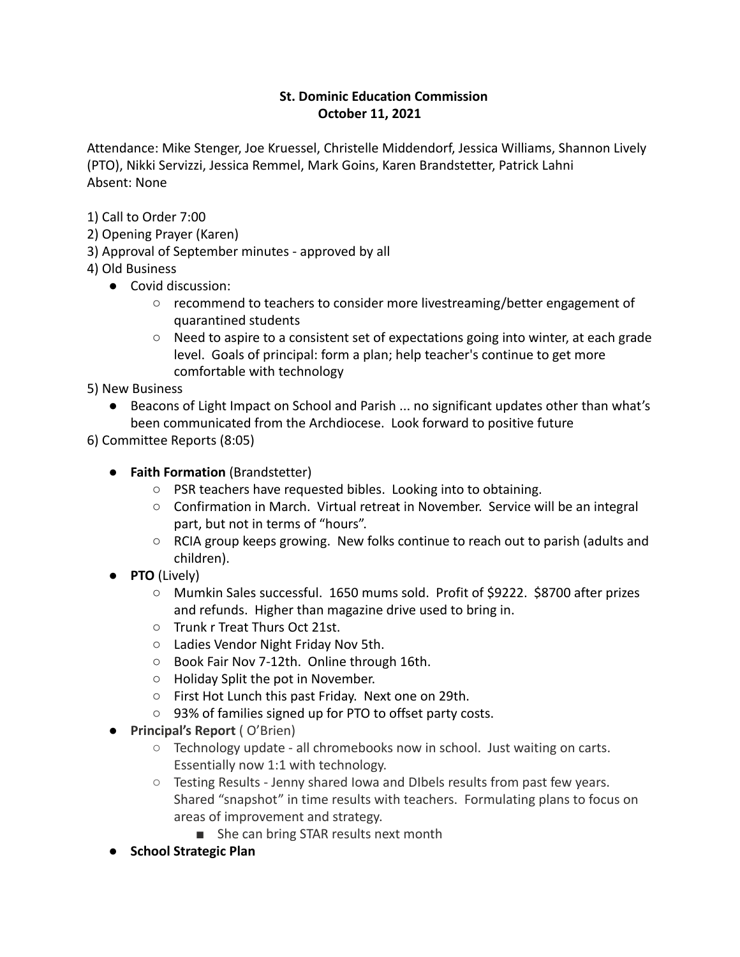## **St. Dominic Education Commission October 11, 2021**

Attendance: Mike Stenger, Joe Kruessel, Christelle Middendorf, Jessica Williams, Shannon Lively (PTO), Nikki Servizzi, Jessica Remmel, Mark Goins, Karen Brandstetter, Patrick Lahni Absent: None

- 1) Call to Order 7:00
- 2) Opening Prayer (Karen)
- 3) Approval of September minutes approved by all
- 4) Old Business
	- Covid discussion:
		- recommend to teachers to consider more livestreaming/better engagement of quarantined students
		- Need to aspire to a consistent set of expectations going into winter, at each grade level. Goals of principal: form a plan; help teacher's continue to get more comfortable with technology

5) New Business

● Beacons of Light Impact on School and Parish ... no significant updates other than what's been communicated from the Archdiocese. Look forward to positive future

6) Committee Reports (8:05)

- **Faith Formation** (Brandstetter)
	- PSR teachers have requested bibles. Looking into to obtaining.
	- Confirmation in March. Virtual retreat in November. Service will be an integral part, but not in terms of "hours".
	- $\circ$  RCIA group keeps growing. New folks continue to reach out to parish (adults and children).
- **PTO** (Lively)
	- Mumkin Sales successful. 1650 mums sold. Profit of \$9222. \$8700 after prizes and refunds. Higher than magazine drive used to bring in.
	- Trunk r Treat Thurs Oct 21st.
	- Ladies Vendor Night Friday Nov 5th.
	- Book Fair Nov 7-12th. Online through 16th.
	- Holiday Split the pot in November.
	- First Hot Lunch this past Friday. Next one on 29th.
	- 93% of families signed up for PTO to offset party costs.
- **Principal's Report** ( O'Brien)
	- Technology update all chromebooks now in school. Just waiting on carts. Essentially now 1:1 with technology.
	- Testing Results Jenny shared Iowa and DIbels results from past few years. Shared "snapshot" in time results with teachers. Formulating plans to focus on areas of improvement and strategy.
		- She can bring STAR results next month
- **School Strategic Plan**